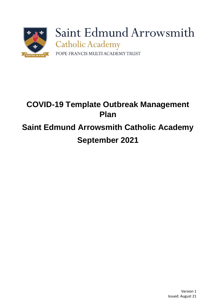

# **COVID-19 Template Outbreak Management Plan Saint Edmund Arrowsmith Catholic Academy September 2021**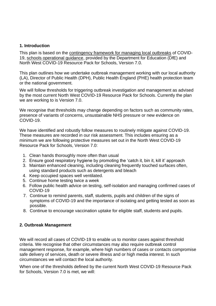#### **1. Introduction**

This plan is based on the [contingency framework for managing local outbreaks](https://www.gov.uk/government/publications/coronavirus-covid-19-local-restrictions-in-education-and-childcare-settings) of COVID-19, [schools operational guidance,](https://www.gov.uk/government/publications/actions-for-schools-during-the-coronavirus-outbreak) provided by the Department for Education (DfE) and North West COVID-19 Resource Pack for Schools, Version 7.0.

This plan outlines how we undertake outbreak management working with our local authority (LA), Director of Public Health (DPH), Public Health England (PHE) health protection team or the national government.

We will follow thresholds for triggering outbreak investigation and management as advised by the most current North West COVID-19 Resource Pack for Schools. Currently the plan we are working to is Version 7.0.

We recognise that thresholds may change depending on factors such as community rates, presence of variants of concerns, unsustainable NHS pressure or new evidence on COVID-19.

We have identified and robustly follow measures to routinely mitigate against COVID-19. These measures are recorded in our risk assessment. This includes ensuring as a minimum we are following protective measures set out in the North West COVID-19 Resource Pack for Schools, Version 7.0:

- 1. Clean hands thoroughly more often than usual
- 2. Ensure good respiratory hygiene by promoting the 'catch it, bin it, kill it' approach
- 3. Maintain enhanced cleaning, including cleaning frequently touched surfaces often, using standard products such as detergents and bleach
- 4. Keep occupied spaces well ventilated.
- 5. Continue home testing twice a week
- 6. Follow public health advice on testing, self-isolation and managing confirmed cases of COVID-19
- 7. Continue to remind parents, staff, students, pupils and children of the signs of symptoms of COVID-19 and the importance of isolating and getting tested as soon as possible.
- 8. Continue to encourage vaccination uptake for eligible staff, students and pupils.

### **2. Outbreak Management**

We will record all cases of COVID-19 to enable us to monitor cases against threshold criteria. We recognise that other circumstances may also require outbreak control management response, for example, where high numbers of cases or contacts compromise safe delivery of services, death or severe illness and or high media interest. In such circumstances we will contact the local authority.

When one of the thresholds defined by the current North West COVID-19 Resource Pack for Schools, Version 7.0 is met, we will: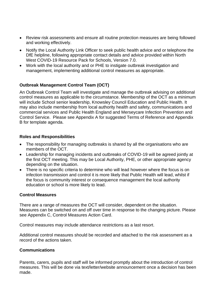- Review risk assessments and ensure all routine protection measures are being followed and working effectively.
- Notify the Local Authority Link Officer to seek public health advice and or telephone the DfE helpline, following appropriate contact details and advice provided within North West COVID-19 Resource Pack for Schools, Version 7.0.
- Work with the local authority and or PHE to instigate outbreak investigation and management, implementing additional control measures as appropriate.

## **Outbreak Management Control Team (OCT)**

An Outbreak Control Team will investigate and manage the outbreak advising on additional control measures as applicable to the circumstance. Membership of the OCT as a minimum will include School senior leadership, Knowsley Council Education and Public Health. It may also include membership from local authority health and safety, communications and commercial services and Public Health England and Merseycare Infection Prevention and Control Service. Please see Appendix A for suggested Terms of Reference and Appendix B for template agenda.

#### **Roles and Responsibilities**

- The responsibility for managing outbreaks is shared by all the organisations who are members of the OCT.
- Leadership for managing incidents and outbreaks of COVID-19 will be agreed jointly at the first OCT meeting. This may be Local Authority, PHE, or other appropriate agency depending on the situation.
- There is no specific criteria to determine who will lead however where the focus is on infection transmission and control it is more likely that Public Health will lead, whilst if the focus is community interest or consequence management the local authority education or school is more likely to lead.

#### **Control Measures**

There are a range of measures the OCT will consider, dependent on the situation. Measures can be switched on and off over time in response to the changing picture. Please see Appendix C, Control Measures Action Card.

Control measures may include attendance restrictions as a last resort.

Additional control measures should be recorded and attached to the risk assessment as a record of the actions taken.

#### **Communications**

Parents, carers, pupils and staff will be informed promptly about the introduction of control measures. This will be done via text/letter/website announcement once a decision has been made.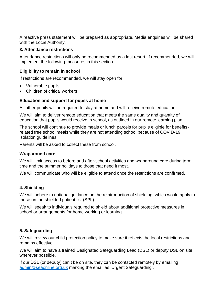A reactive press statement will be prepared as appropriate. Media enquiries will be shared with the Local Authority.

#### **3. Attendance restrictions**

Attendance restrictions will only be recommended as a last resort. If recommended, we will implement the following measures in this section.

#### **Eligibility to remain in school**

If restrictions are recommended, we will stay open for:

- Vulnerable pupils
- Children of critical workers

#### **Education and support for pupils at home**

All other pupils will be required to stay at home and will receive remote education.

We will aim to deliver remote education that meets the same quality and quantity of education that pupils would receive in school, as outlined in our remote learning plan.

The school will continue to provide meals or lunch parcels for pupils eligible for benefitsrelated free school meals while they are not attending school because of COVID-19 isolation quidelines.

Parents will be asked to collect these from school.

#### **Wraparound care**

We will limit access to before and after-school activities and wraparound care during term time and the summer holidays to those that need it most.

We will communicate who will be eligible to attend once the restrictions are confirmed.

#### **4. Shielding**

We will adhere to national guidance on the reintroduction of shielding, which would apply to those on the [shielded patient list \(SPL\).](https://digital.nhs.uk/coronavirus/shielded-patient-list)

We will speak to individuals required to shield about additional protective measures in school or arrangements for home working or learning.

#### **5. Safeguarding**

We will review our child protection policy to make sure it reflects the local restrictions and remains effective.

We will aim to have a trained Designated Safeguarding Lead (DSL) or deputy DSL on site wherever possible.

If our DSL (or deputy) can't be on site, they can be contacted remotely by emailing [admin@seaonline.org.uk](mailto:admin@seaonline.org.uk) marking the email as 'Urgent Safeguarding'.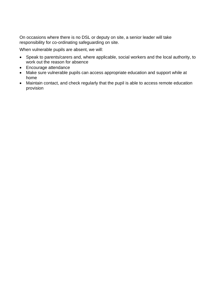On occasions where there is no DSL or deputy on site, a senior leader will take responsibility for co-ordinating safeguarding on site.

When vulnerable pupils are absent, we will:

- Speak to parents/carers and, where applicable, social workers and the local authority, to work out the reason for absence
- Encourage attendance
- Make sure vulnerable pupils can access appropriate education and support while at home
- Maintain contact, and check regularly that the pupil is able to access remote education provision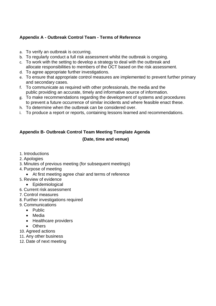## **Appendix A - Outbreak Control Team - Terms of Reference**

- a. To verify an outbreak is occurring.
- b. To regularly conduct a full risk assessment whilst the outbreak is ongoing.
- c. To work with the setting to develop a strategy to deal with the outbreak and allocate responsibilities to members of the OCT based on the risk assessment.
- d. To agree appropriate further investigations.
- e. To ensure that appropriate control measures are implemented to prevent further primary and secondary cases.
- f. To communicate as required with other professionals, the media and the public providing an accurate, timely and informative source of information.
- g. To make recommendations regarding the development of systems and procedures to prevent a future occurrence of similar incidents and where feasible enact these.
- h. To determine when the outbreak can be considered over.
- i. To produce a report or reports, containing lessons learned and recommendations.

## **Appendix B- Outbreak Control Team Meeting Template Agenda (Date, time and venue)**

- 1. Introductions
- 2. Apologies
- 3. Minutes of previous meeting (for subsequent meetings)
- 4. Purpose of meeting
	- At first meeting agree chair and terms of reference
- 5. Review of evidence
	- Epidemiological
- 6. Current risk assessment
- 7. Control measures
- 8. Further investigations required
- 9. Communications
	- Public
	- Media
	- Healthcare providers
	- Others
- 10. Agreed actions
- 11. Any other business
- 12. Date of next meeting